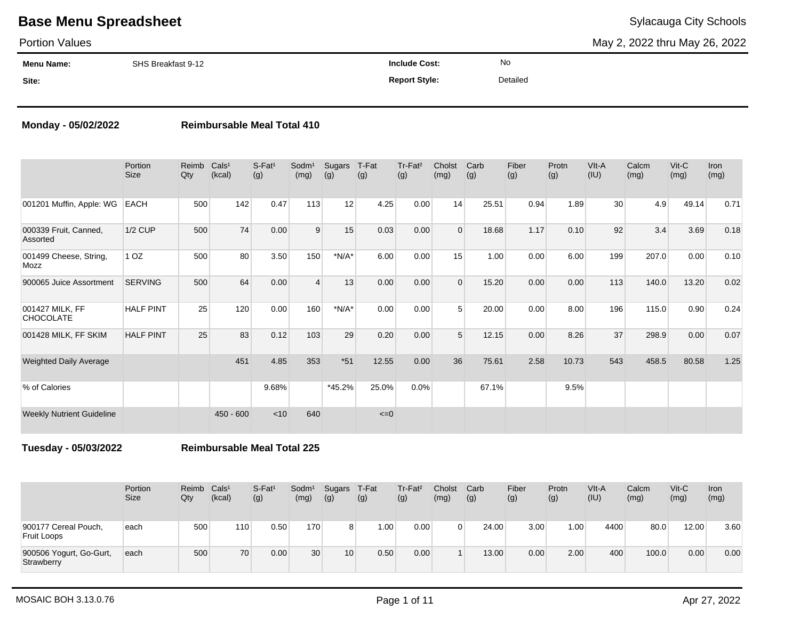### Portion Values

May 2, 2022 thru May 26, 2022

| <b>Menu Name:</b> | SHS Breakfast 9-12 | <b>Include Cost:</b> | No       |
|-------------------|--------------------|----------------------|----------|
| Site:             |                    | <b>Report Style:</b> | Detailed |

### **Monday - 05/02/2022 Reimbursable Meal Total 410**

|                                     | Portion<br><b>Size</b> | Reimb<br>Qty | Cals <sup>1</sup><br>(kcal) | S-Fat <sup>1</sup><br>(g) | Sodm <sup>1</sup><br>(mg) | Sugars<br>(g) | T-Fat<br>(g) | Tr-Fat <sup>2</sup><br>(g) | Cholst<br>(mg) | Carb<br>(g) | Fiber<br>(g) | Protn<br>(g) | VIt-A<br>(IU) | Calcm<br>(mg) | $V$ it-C<br>(mg) | Iron<br>(mg) |
|-------------------------------------|------------------------|--------------|-----------------------------|---------------------------|---------------------------|---------------|--------------|----------------------------|----------------|-------------|--------------|--------------|---------------|---------------|------------------|--------------|
| 001201 Muffin, Apple: WG            | <b>EACH</b>            | 500          | 142                         | 0.47                      | 113                       | 12            | 4.25         | 0.00                       | 14             | 25.51       | 0.94         | 1.89         | 30            | 4.9           | 49.14            | 0.71         |
| 000339 Fruit, Canned,<br>Assorted   | <b>1/2 CUP</b>         | 500          | 74                          | 0.00                      | 9                         | 15            | 0.03         | 0.00                       | $\Omega$       | 18.68       | 1.17         | 0.10         | 92            | 3.4           | 3.69             | 0.18         |
| 001499 Cheese, String,<br>Mozz      | 1 <sub>OZ</sub>        | 500          | 80                          | 3.50                      | 150                       | $*N/A*$       | 6.00         | 0.00                       | 15             | 1.00        | 0.00         | 6.00         | 199           | 207.0         | 0.00             | 0.10         |
| 900065 Juice Assortment             | <b>SERVING</b>         | 500          | 64                          | 0.00                      | $\overline{4}$            | 13            | 0.00         | 0.00                       | $\Omega$       | 15.20       | 0.00         | 0.00         | 113           | 140.0         | 13.20            | 0.02         |
| 001427 MILK, FF<br><b>CHOCOLATE</b> | <b>HALF PINT</b>       | 25           | 120                         | 0.00                      | 160                       | $*N/A*$       | 0.00         | 0.00                       | 5              | 20.00       | 0.00         | 8.00         | 196           | 115.0         | 0.90             | 0.24         |
| 001428 MILK, FF SKIM                | <b>HALF PINT</b>       | 25           | 83                          | 0.12                      | 103                       | 29            | 0.20         | 0.00                       | $5^{\circ}$    | 12.15       | 0.00         | 8.26         | 37            | 298.9         | 0.00             | 0.07         |
| <b>Weighted Daily Average</b>       |                        |              | 451                         | 4.85                      | 353                       | $*51$         | 12.55        | 0.00                       | 36             | 75.61       | 2.58         | 10.73        | 543           | 458.5         | 80.58            | 1.25         |
| % of Calories                       |                        |              |                             | 9.68%                     |                           | $*45.2%$      | 25.0%        | 0.0%                       |                | 67.1%       |              | 9.5%         |               |               |                  |              |
| <b>Weekly Nutrient Guideline</b>    |                        |              | $450 - 600$                 | < 10                      | 640                       |               | $\leq=0$     |                            |                |             |              |              |               |               |                  |              |

**Tuesday - 05/03/2022 Reimbursable Meal Total 225**

|                                            | Portion<br>Size | Reimb<br>Qty | Cals <sup>1</sup><br>(kcal) | S-Fat <sup>1</sup><br>(g) | Sodm <sup>1</sup><br>(mg) | Sugars<br>(g)  | T-Fat<br>(g) | $Tr-Fat2$<br>(g) | Cholst<br>(mg) | Carb<br>(g) | Fiber<br>(g) | Protn<br>(g) | VIt-A<br>(IU) | Calcm<br>(mg) | $V$ it- $C$<br>(mg) | <b>Iron</b><br>(mg) |
|--------------------------------------------|-----------------|--------------|-----------------------------|---------------------------|---------------------------|----------------|--------------|------------------|----------------|-------------|--------------|--------------|---------------|---------------|---------------------|---------------------|
| 900177 Cereal Pouch,<br><b>Fruit Loops</b> | each            | 500          | 110                         | 0.50                      | 170                       | 8 <sup>1</sup> | 0.00         | 0.00             |                | 24.00       | 3.00         | 1.00         | 4400          | 80.0          | 12.00               | 3.60                |
| 900506 Yogurt, Go-Gurt,<br>Strawberry      | each            | 500          | 70                          | 0.00                      | 30                        | 10             | 0.50         | 0.00             |                | 13.00       | 0.00         | 2.00         | 400           | 100.0         | 0.00                | 0.00                |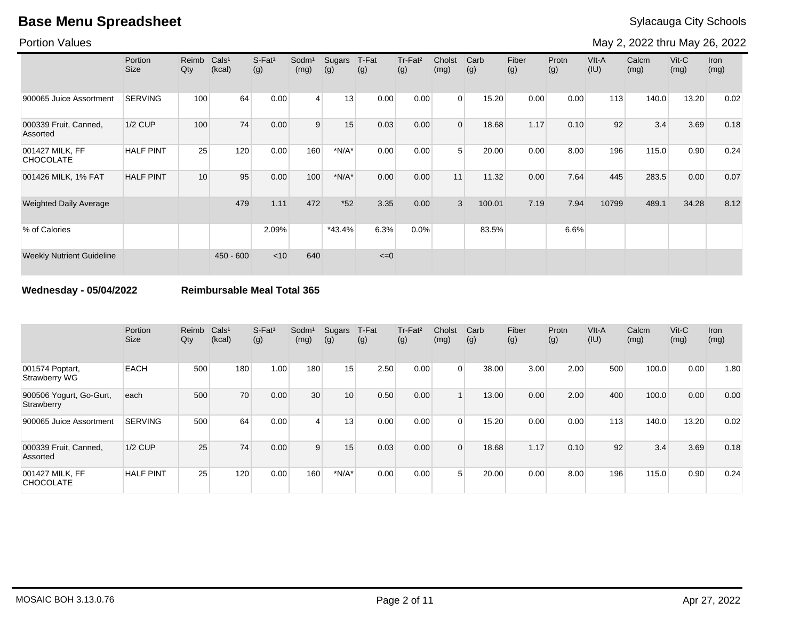Portion Values

May 2, 2022 thru May 26, 2022

|                                     | Portion<br><b>Size</b> | Reimb<br>Qty | Cals <sup>1</sup><br>(kcal) | $S-Fat1$<br>(g) | Sodm <sup>1</sup><br>(mg) | Sugars<br>(g) | T-Fat<br>(g) | Tr-Fat <sup>2</sup><br>(g) | Cholst<br>(mg) | Carb<br>(g) | Fiber<br>(g) | Protn<br>(g) | VIt-A<br>(IU) | Calcm<br>(mg) | $V$ it-C<br>(mg) | <b>Iron</b><br>(mg) |
|-------------------------------------|------------------------|--------------|-----------------------------|-----------------|---------------------------|---------------|--------------|----------------------------|----------------|-------------|--------------|--------------|---------------|---------------|------------------|---------------------|
| 900065 Juice Assortment             | <b>SERVING</b>         | 100          | 64                          | 0.00            | $\overline{4}$            | 13            | 0.00         | 0.00                       | $\Omega$       | 15.20       | 0.00         | 0.00         | 113           | 140.0         | 13.20            | 0.02                |
| 000339 Fruit, Canned,<br>Assorted   | <b>1/2 CUP</b>         | 100          | 74                          | 0.00            | 9                         | 15            | 0.03         | 0.00                       | $\Omega$       | 18.68       | 1.17         | 0.10         | 92            | 3.4           | 3.69             | 0.18                |
| 001427 MILK, FF<br><b>CHOCOLATE</b> | <b>HALF PINT</b>       | 25           | 120                         | 0.00            | 160                       | $*N/A*$       | 0.00         | 0.00                       | 5              | 20.00       | 0.00         | 8.00         | 196           | 115.0         | 0.90             | 0.24                |
| 001426 MILK, 1% FAT                 | <b>HALF PINT</b>       | 10           | 95                          | 0.00            | 100                       | $*N/A*$       | 0.00         | 0.00                       | 11             | 11.32       | 0.00         | 7.64         | 445           | 283.5         | 0.00             | 0.07                |
| <b>Weighted Daily Average</b>       |                        |              | 479                         | 1.11            | 472                       | $*52$         | 3.35         | 0.00                       | 3              | 100.01      | 7.19         | 7.94         | 10799         | 489.1         | 34.28            | 8.12                |
| % of Calories                       |                        |              |                             | 2.09%           |                           | $*43.4%$      | 6.3%         | $0.0\%$                    |                | 83.5%       |              | 6.6%         |               |               |                  |                     |
| <b>Weekly Nutrient Guideline</b>    |                        |              | $450 - 600$                 | < 10            | 640                       |               | $\leq=0$     |                            |                |             |              |              |               |               |                  |                     |

**Wednesday - 05/04/2022 Reimbursable Meal Total 365**

|                                         | Portion<br><b>Size</b> | Reimb<br>Qty | Cals <sup>1</sup><br>(kcal) | $S-Fat1$<br>(g) | Sodm <sup>1</sup><br>(mg) | Sugars<br>(g) | T-Fat<br>(g) | Tr-Fat <sup>2</sup><br>(g) | Cholst<br>(mg) | Carb<br>(g) | Fiber<br>(g) | Protn<br>(g) | VIt-A<br>(IU) | Calcm<br>(mg) | $V$ it-C<br>(mg) | <b>Iron</b><br>(mg) |
|-----------------------------------------|------------------------|--------------|-----------------------------|-----------------|---------------------------|---------------|--------------|----------------------------|----------------|-------------|--------------|--------------|---------------|---------------|------------------|---------------------|
| 001574 Poptart,<br><b>Strawberry WG</b> | <b>EACH</b>            | 500          | 180                         | 1.00            | 180                       | 15            | 2.50         | 0.00                       | $\Omega$       | 38.00       | 3.00         | 2.00         | 500           | 100.0         | 0.00             | 1.80                |
| 900506 Yogurt, Go-Gurt,<br>Strawberry   | each                   | 500          | 70                          | 0.00            | 30                        | 10            | 0.50         | 0.00                       |                | 13.00       | 0.00         | 2.00         | 400           | 100.0         | 0.00             | 0.00                |
| 900065 Juice Assortment                 | <b>SERVING</b>         | 500          | 64                          | 0.00            | $\overline{4}$            | 13            | 0.00         | 0.00                       | $\Omega$       | 15.20       | 0.00         | 0.00         | 113           | 140.0         | 13.20            | 0.02                |
| 000339 Fruit, Canned,<br>Assorted       | $1/2$ CUP              | 25           | 74                          | 0.00            | 9                         | 15            | 0.03         | 0.00                       | $\Omega$       | 18.68       | 1.17         | 0.10         | 92            | 3.4           | 3.69             | 0.18                |
| 001427 MILK. FF<br><b>CHOCOLATE</b>     | <b>HALF PINT</b>       | 25           | 120                         | 0.00            | 160 <sub>1</sub>          | $*N/A*$       | 0.00         | 0.00                       | 5              | 20.00       | 0.00         | 8.00         | 196           | 115.0         | 0.90             | 0.24                |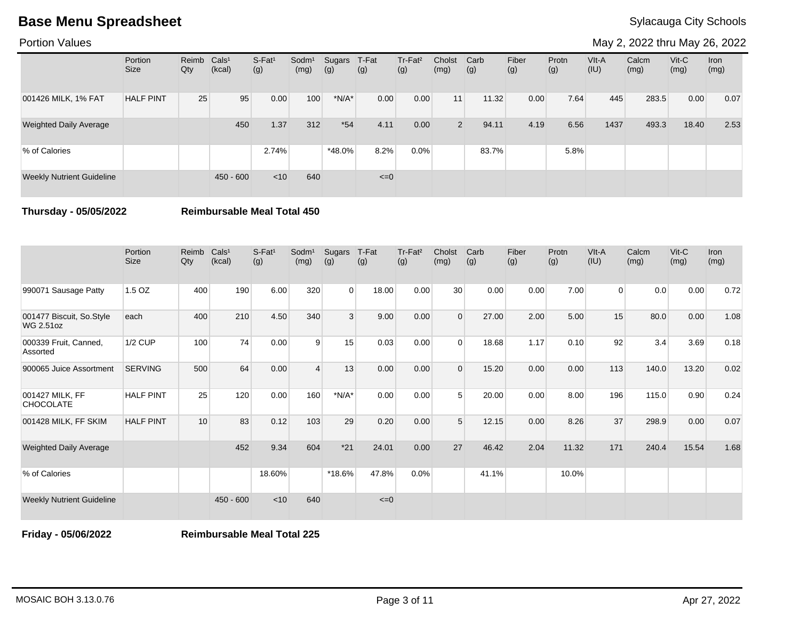Portion Values

May 2, 2022 thru May 26, 2022

|                                  | Portion<br><b>Size</b> | Reimb Cals <sup>1</sup><br>Qty | (kcal)      | $S-Fat1$<br>(g) | Sodm <sup>1</sup><br>(mg) | Sugars<br>(g) | T-Fat<br>(g) | Tr-Fat <sup>2</sup><br>(g) | Cholst<br>(mg) | Carb<br>(g) | Fiber<br>(g) | Protn<br>(g) | $V$ lt-A<br>(IU) | Calcm<br>(mg) | $V$ it-C<br>(mg) | Iron<br>(mg) |
|----------------------------------|------------------------|--------------------------------|-------------|-----------------|---------------------------|---------------|--------------|----------------------------|----------------|-------------|--------------|--------------|------------------|---------------|------------------|--------------|
| 001426 MILK, 1% FAT              | <b>HALF PINT</b>       | 25                             | 95          | 0.00            | 100                       | $*N/A*$       | 0.00         | 0.00                       | 11             | 11.32       | 0.00         | 7.64         | 445              | 283.5         | 0.00             | 0.07         |
| <b>Weighted Daily Average</b>    |                        |                                | 450         | 1.37            | 312                       | $*54$         | 4.11         | 0.00                       | $\overline{2}$ | 94.11       | 4.19         | 6.56         | 1437             | 493.3         | 18.40            | 2.53         |
| % of Calories                    |                        |                                |             | 2.74%           |                           | $*48.0\%$     | 8.2%         | 0.0%                       |                | 83.7%       |              | 5.8%         |                  |               |                  |              |
| <b>Weekly Nutrient Guideline</b> |                        |                                | $450 - 600$ | < 10            | 640                       |               | $\leq=0$     |                            |                |             |              |              |                  |               |                  |              |

**Thursday - 05/05/2022 Reimbursable Meal Total 450**

|                                              | Portion<br><b>Size</b> | Reimb<br>Qty | Cals <sup>1</sup><br>(kcal) | S-Fat <sup>1</sup><br>(g) | Sodm <sup>1</sup><br>(mg) | Sugars<br>(g)  | T-Fat<br>(g) | Tr-Fat <sup>2</sup><br>(g) | Cholst<br>(mg) | Carb<br>(g) | Fiber<br>(g) | Protn<br>(g) | VIt-A<br>(IU)  | Calcm<br>(mg) | Vit-C<br>(mg) | <b>Iron</b><br>(mg) |
|----------------------------------------------|------------------------|--------------|-----------------------------|---------------------------|---------------------------|----------------|--------------|----------------------------|----------------|-------------|--------------|--------------|----------------|---------------|---------------|---------------------|
| 990071 Sausage Patty                         | 1.5 OZ                 | 400          | 190                         | 6.00                      | 320                       | $\overline{0}$ | 18.00        | 0.00                       | 30             | 0.00        | 0.00         | 7.00         | $\overline{0}$ | 0.0           | 0.00          | 0.72                |
| 001477 Biscuit, So.Style<br><b>WG 2.51oz</b> | each                   | 400          | 210                         | 4.50                      | 340                       | 3              | 9.00         | 0.00                       | $\overline{0}$ | 27.00       | 2.00         | 5.00         | 15             | 80.0          | 0.00          | 1.08                |
| 000339 Fruit, Canned,<br>Assorted            | 1/2 CUP                | 100          | 74                          | 0.00                      | 9                         | 15             | 0.03         | 0.00                       | $\Omega$       | 18.68       | 1.17         | 0.10         | 92             | 3.4           | 3.69          | 0.18                |
| 900065 Juice Assortment                      | <b>SERVING</b>         | 500          | 64                          | 0.00                      | 4                         | 13             | 0.00         | 0.00                       | $\overline{0}$ | 15.20       | 0.00         | 0.00         | 113            | 140.0         | 13.20         | 0.02                |
| 001427 MILK, FF<br><b>CHOCOLATE</b>          | <b>HALF PINT</b>       | 25           | 120                         | 0.00                      | 160                       | $*N/A*$        | 0.00         | 0.00                       | 5              | 20.00       | 0.00         | 8.00         | 196            | 115.0         | 0.90          | 0.24                |
| 001428 MILK, FF SKIM                         | <b>HALF PINT</b>       | 10           | 83                          | 0.12                      | 103                       | 29             | 0.20         | 0.00                       | 5              | 12.15       | 0.00         | 8.26         | 37             | 298.9         | 0.00          | 0.07                |
| <b>Weighted Daily Average</b>                |                        |              | 452                         | 9.34                      | 604                       | $*21$          | 24.01        | 0.00                       | 27             | 46.42       | 2.04         | 11.32        | 171            | 240.4         | 15.54         | 1.68                |
| % of Calories                                |                        |              |                             | 18.60%                    |                           | *18.6%         | 47.8%        | 0.0%                       |                | 41.1%       |              | 10.0%        |                |               |               |                     |
| <b>Weekly Nutrient Guideline</b>             |                        |              | $450 - 600$                 | < 10                      | 640                       |                | $\leq=0$     |                            |                |             |              |              |                |               |               |                     |

**Friday - 05/06/2022 Reimbursable Meal Total 225**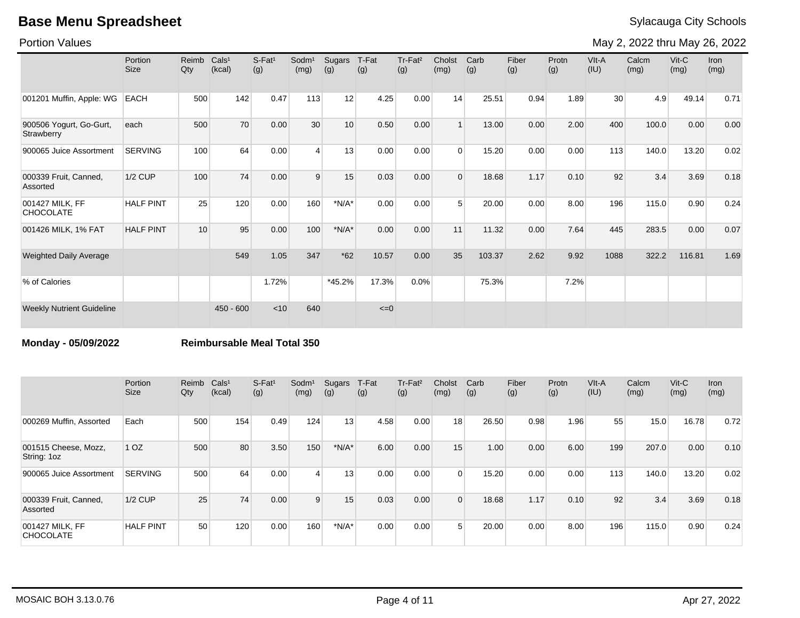Portion Values

May 2, 2022 thru May 26, 2022

|                                       | Portion<br><b>Size</b> | Reimb<br>Qty | Cals <sup>1</sup><br>(kcal) | S-Fat <sup>1</sup><br>(g) | Sodm <sup>1</sup><br>(mg) | Sugars<br>(g) | T-Fat<br>(g) | Tr-Fat <sup>2</sup><br>(g) | Cholst<br>(mg) | Carb<br>(g) | Fiber<br>(g) | Protn<br>(g) | VIt-A<br>(IU) | Calcm<br>(mg) | $V$ it-C<br>(mg) | <b>Iron</b><br>(mg) |
|---------------------------------------|------------------------|--------------|-----------------------------|---------------------------|---------------------------|---------------|--------------|----------------------------|----------------|-------------|--------------|--------------|---------------|---------------|------------------|---------------------|
| 001201 Muffin, Apple: WG              | <b>EACH</b>            | 500          | 142                         | 0.47                      | 113                       | 12            | 4.25         | 0.00                       | 14             | 25.51       | 0.94         | 1.89         | 30            | 4.9           | 49.14            | 0.71                |
| 900506 Yogurt, Go-Gurt,<br>Strawberry | each                   | 500          | 70                          | 0.00                      | 30                        | 10            | 0.50         | 0.00                       |                | 13.00       | 0.00         | 2.00         | 400           | 100.0         | 0.00             | 0.00                |
| 900065 Juice Assortment               | <b>SERVING</b>         | 100          | 64                          | 0.00                      | $\overline{4}$            | 13            | 0.00         | 0.00                       | $\Omega$       | 15.20       | 0.00         | 0.00         | 113           | 140.0         | 13.20            | 0.02                |
| 000339 Fruit, Canned,<br>Assorted     | <b>1/2 CUP</b>         | 100          | 74                          | 0.00                      | 9                         | 15            | 0.03         | 0.00                       | $\Omega$       | 18.68       | 1.17         | 0.10         | 92            | 3.4           | 3.69             | 0.18                |
| 001427 MILK, FF<br><b>CHOCOLATE</b>   | <b>HALF PINT</b>       | 25           | 120                         | 0.00                      | 160                       | $*N/A*$       | 0.00         | 0.00                       | 5              | 20.00       | 0.00         | 8.00         | 196           | 115.0         | 0.90             | 0.24                |
| 001426 MILK, 1% FAT                   | <b>HALF PINT</b>       | 10           | 95                          | 0.00                      | 100                       | $*N/A*$       | 0.00         | 0.00                       | 11             | 11.32       | 0.00         | 7.64         | 445           | 283.5         | 0.00             | 0.07                |
| <b>Weighted Daily Average</b>         |                        |              | 549                         | 1.05                      | 347                       | $*62$         | 10.57        | 0.00                       | 35             | 103.37      | 2.62         | 9.92         | 1088          | 322.2         | 116.81           | 1.69                |
| % of Calories                         |                        |              |                             | 1.72%                     |                           | $*45.2%$      | 17.3%        | 0.0%                       |                | 75.3%       |              | 7.2%         |               |               |                  |                     |
| <b>Weekly Nutrient Guideline</b>      |                        |              | $450 - 600$                 | < 10                      | 640                       |               | $\leq=0$     |                            |                |             |              |              |               |               |                  |                     |

**Monday - 05/09/2022 Reimbursable Meal Total 350**

|                                     | Portion<br><b>Size</b> | Reimb<br>Qty | Cals <sup>1</sup><br>(kcal) | $S$ -Fat <sup>1</sup><br>(g) | Sodm <sup>1</sup><br>(mg) | Sugars<br>(g) | T-Fat<br>(g) | Tr-Fat <sup>2</sup><br>(g) | Cholst<br>(mg) | Carb<br>(g) | Fiber<br>(g) | Protn<br>(g) | VIt-A<br>(IU) | Calcm<br>(mg) | $V$ it-C<br>(mg) | <b>Iron</b><br>(mg) |
|-------------------------------------|------------------------|--------------|-----------------------------|------------------------------|---------------------------|---------------|--------------|----------------------------|----------------|-------------|--------------|--------------|---------------|---------------|------------------|---------------------|
| 000269 Muffin, Assorted             | Each                   | 500          | 154                         | 0.49                         | 124                       | 13            | 4.58         | 0.00                       | 18             | 26.50       | 0.98         | 1.96         | 55            | 15.0          | 16.78            | 0.72                |
| 001515 Cheese, Mozz,<br>String: 1oz | 1 <sub>OZ</sub>        | 500          | 80                          | 3.50                         | 150                       | $*N/A*$       | 6.00         | 0.00                       | 15             | 1.00        | 0.00         | 6.00         | 199           | 207.0         | 0.00             | 0.10                |
| 900065 Juice Assortment             | <b>SERVING</b>         | 500          | 64                          | 0.00                         | $\overline{4}$            | 13            | 0.00         | 0.00                       | $\Omega$       | 15.20       | 0.00         | 0.00         | 113           | 140.0         | 13.20            | 0.02                |
| 000339 Fruit, Canned,<br>Assorted   | 1/2 CUP                | 25           | 74                          | 0.00                         | 9                         | 15            | 0.03         | 0.00                       | $\Omega$       | 18.68       | 1.17         | 0.10         | 92            | 3.4           | 3.69             | 0.18                |
| 001427 MILK. FF<br><b>CHOCOLATE</b> | <b>HALF PINT</b>       | 50           | 120                         | 0.00                         | 160                       | $*N/A*$       | 0.00         | 0.00                       | 5              | 20.00       | 0.00         | 8.00         | 196           | 115.0         | 0.90             | 0.24                |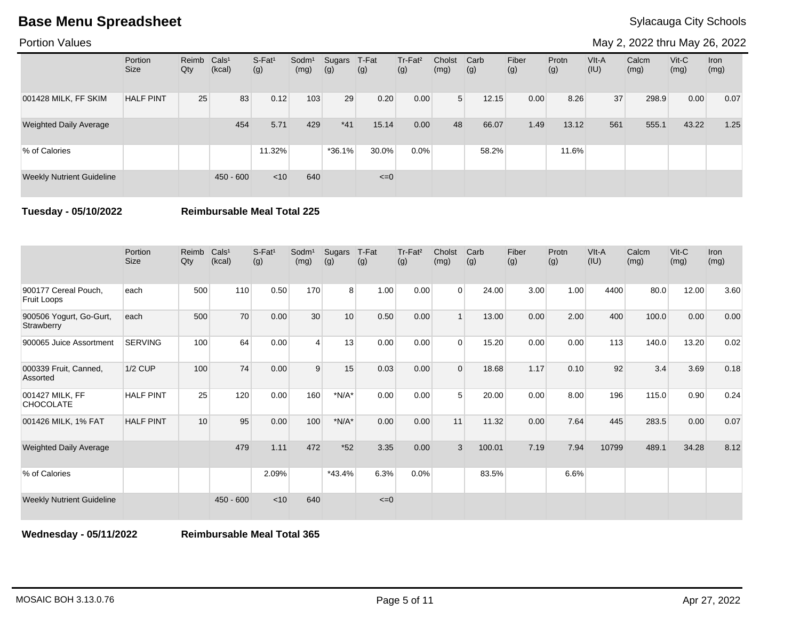Portion Values

May 2, 2022 thru May 26, 2022

|                                  | Portion<br><b>Size</b> | Reimb Cals <sup>1</sup><br>Qty | (kcal)      | S-Fat <sup>1</sup><br>(g) | Sodm <sup>1</sup><br>(mg) | Sugars<br>(g) | T-Fat<br>(g) | $Tr-Fat2$<br>(g) | Cholst<br>(mg) | Carb<br>(g) | Fiber<br>(g) | Protn<br>(g) | $V$ lt-A<br>(IU) | Calcm<br>(mg) | $V$ it-C<br>(mg) | Iron<br>(mg) |
|----------------------------------|------------------------|--------------------------------|-------------|---------------------------|---------------------------|---------------|--------------|------------------|----------------|-------------|--------------|--------------|------------------|---------------|------------------|--------------|
| 001428 MILK, FF SKIM             | <b>HALF PINT</b>       | 25                             | 83          | 0.12                      | 103                       | 29            | 0.20         | 0.00             | 5 <sup>1</sup> | 12.15       | 0.00         | 8.26         | 37               | 298.9         | 0.00             | 0.07         |
| <b>Weighted Daily Average</b>    |                        |                                | 454         | 5.71                      | 429                       | $*41$         | 15.14        | 0.00             | 48             | 66.07       | 1.49         | 13.12        | 561              | 555.1         | 43.22            | 1.25         |
| % of Calories                    |                        |                                |             | 11.32%                    |                           | $*36.1%$      | 30.0%        | 0.0%             |                | 58.2%       |              | 11.6%        |                  |               |                  |              |
| <b>Weekly Nutrient Guideline</b> |                        |                                | $450 - 600$ | $<$ 10                    | 640                       |               | $\leq=0$     |                  |                |             |              |              |                  |               |                  |              |

**Tuesday - 05/10/2022 Reimbursable Meal Total 225**

|                                       | Portion<br><b>Size</b> | Reimb<br>Qty | Cals <sup>1</sup><br>(kcal) | $S-Fat1$<br>(g) | Sodm <sup>1</sup><br>(mg) | Sugars<br>(g) | T-Fat<br>(g) | Tr-Fat <sup>2</sup><br>(g) | Cholst<br>(mg) | Carb<br>(g) | Fiber<br>(g) | Protn<br>(g) | VIt-A<br>(IU) | Calcm<br>(mg) | $V$ it-C<br>(mg) | Iron<br>(mg) |
|---------------------------------------|------------------------|--------------|-----------------------------|-----------------|---------------------------|---------------|--------------|----------------------------|----------------|-------------|--------------|--------------|---------------|---------------|------------------|--------------|
| 900177 Cereal Pouch,<br>Fruit Loops   | each                   | 500          | 110                         | 0.50            | 170                       | 8             | 1.00         | 0.00                       | $\Omega$       | 24.00       | 3.00         | 1.00         | 4400          | 80.0          | 12.00            | 3.60         |
| 900506 Yogurt, Go-Gurt,<br>Strawberry | each                   | 500          | 70                          | 0.00            | 30                        | 10            | 0.50         | 0.00                       |                | 13.00       | 0.00         | 2.00         | 400           | 100.0         | 0.00             | 0.00         |
| 900065 Juice Assortment               | <b>SERVING</b>         | 100          | 64                          | 0.00            | $\overline{\mathbf{A}}$   | 13            | 0.00         | 0.00                       | $\Omega$       | 15.20       | 0.00         | 0.00         | 113           | 140.0         | 13.20            | 0.02         |
| 000339 Fruit, Canned,<br>Assorted     | <b>1/2 CUP</b>         | 100          | 74                          | 0.00            | 9                         | 15            | 0.03         | 0.00                       | $\Omega$       | 18.68       | 1.17         | 0.10         | 92            | 3.4           | 3.69             | 0.18         |
| 001427 MILK, FF<br><b>CHOCOLATE</b>   | <b>HALF PINT</b>       | 25           | 120                         | 0.00            | 160                       | $*N/A*$       | 0.00         | 0.00                       | 5              | 20.00       | 0.00         | 8.00         | 196           | 115.0         | 0.90             | 0.24         |
| 001426 MILK, 1% FAT                   | <b>HALF PINT</b>       | 10           | 95                          | 0.00            | 100                       | $*N/A*$       | 0.00         | 0.00                       | 11             | 11.32       | 0.00         | 7.64         | 445           | 283.5         | 0.00             | 0.07         |
| <b>Weighted Daily Average</b>         |                        |              | 479                         | 1.11            | 472                       | $*52$         | 3.35         | 0.00                       | 3              | 100.01      | 7.19         | 7.94         | 10799         | 489.1         | 34.28            | 8.12         |
| % of Calories                         |                        |              |                             | 2.09%           |                           | $*43.4%$      | 6.3%         | 0.0%                       |                | 83.5%       |              | 6.6%         |               |               |                  |              |
| <b>Weekly Nutrient Guideline</b>      |                        |              | $450 - 600$                 | < 10            | 640                       |               | $\leq=0$     |                            |                |             |              |              |               |               |                  |              |

**Wednesday - 05/11/2022 Reimbursable Meal Total 365**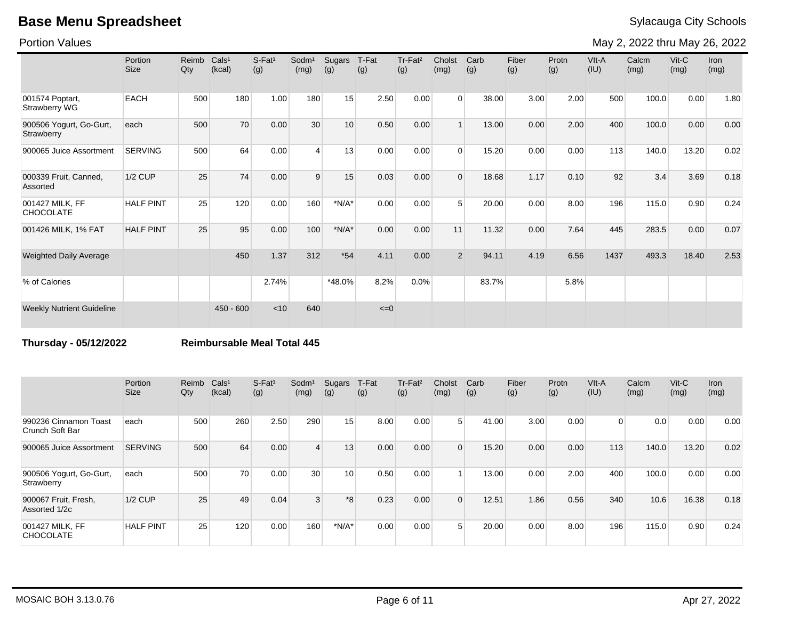Portion Values

May 2, 2022 thru May 26, 2022

|                                       | Portion<br><b>Size</b> | Reimb<br>Qty | Cals <sup>1</sup><br>(kcal) | S-Fat <sup>1</sup><br>(g) | Sodm <sup>1</sup><br>(mg) | Sugars<br>(g) | T-Fat<br>(g) | Tr-Fat <sup>2</sup><br>(g) | Cholst<br>(mg) | Carb<br>(g) | Fiber<br>(g) | Protn<br>(g) | VIt-A<br>(IU) | Calcm<br>(mg) | $V$ it-C<br>(mg) | <b>Iron</b><br>(mg) |
|---------------------------------------|------------------------|--------------|-----------------------------|---------------------------|---------------------------|---------------|--------------|----------------------------|----------------|-------------|--------------|--------------|---------------|---------------|------------------|---------------------|
| 001574 Poptart,<br>Strawberry WG      | <b>EACH</b>            | 500          | 180                         | 1.00                      | 180                       | 15            | 2.50         | 0.00                       | $\Omega$       | 38.00       | 3.00         | 2.00         | 500           | 100.0         | 0.00             | 1.80                |
| 900506 Yogurt, Go-Gurt,<br>Strawberry | each                   | 500          | 70                          | 0.00                      | 30                        | 10            | 0.50         | 0.00                       |                | 13.00       | 0.00         | 2.00         | 400           | 100.0         | 0.00             | 0.00                |
| 900065 Juice Assortment               | <b>SERVING</b>         | 500          | 64                          | 0.00                      | $\overline{4}$            | 13            | 0.00         | 0.00                       | $\Omega$       | 15.20       | 0.00         | 0.00         | 113           | 140.0         | 13.20            | 0.02                |
| 000339 Fruit, Canned,<br>Assorted     | <b>1/2 CUP</b>         | 25           | 74                          | 0.00                      | 9                         | 15            | 0.03         | 0.00                       | $\Omega$       | 18.68       | 1.17         | 0.10         | 92            | 3.4           | 3.69             | 0.18                |
| 001427 MILK, FF<br><b>CHOCOLATE</b>   | <b>HALF PINT</b>       | 25           | 120                         | 0.00                      | 160                       | $*N/A*$       | 0.00         | 0.00                       | 5              | 20.00       | 0.00         | 8.00         | 196           | 115.0         | 0.90             | 0.24                |
| 001426 MILK, 1% FAT                   | <b>HALF PINT</b>       | 25           | 95                          | 0.00                      | 100                       | $*N/A*$       | 0.00         | 0.00                       | 11             | 11.32       | 0.00         | 7.64         | 445           | 283.5         | 0.00             | 0.07                |
| <b>Weighted Daily Average</b>         |                        |              | 450                         | 1.37                      | 312                       | $*54$         | 4.11         | 0.00                       | $\overline{2}$ | 94.11       | 4.19         | 6.56         | 1437          | 493.3         | 18.40            | 2.53                |
| % of Calories                         |                        |              |                             | 2.74%                     |                           | *48.0%        | 8.2%         | 0.0%                       |                | 83.7%       |              | 5.8%         |               |               |                  |                     |
| <b>Weekly Nutrient Guideline</b>      |                        |              | $450 - 600$                 | < 10                      | 640                       |               | $\leq=0$     |                            |                |             |              |              |               |               |                  |                     |

**Thursday - 05/12/2022 Reimbursable Meal Total 445**

|                                          | Portion<br>Size  | Reimb<br>Qty | Cals <sup>1</sup><br>(kcal) | $S$ -Fat <sup>1</sup><br>(g) | Sodm <sup>1</sup><br>(mg) | Sugars<br>(g) | T-Fat<br>(g) | Tr-Fat <sup>2</sup><br>(g) | Cholst<br>(mg) | Carb<br>(g) | Fiber<br>(g) | Protn<br>(g) | VIt-A<br>(IU)  | Calcm<br>(mg) | $V$ it-C<br>(mg) | <b>Iron</b><br>(mg) |
|------------------------------------------|------------------|--------------|-----------------------------|------------------------------|---------------------------|---------------|--------------|----------------------------|----------------|-------------|--------------|--------------|----------------|---------------|------------------|---------------------|
| 990236 Cinnamon Toast<br>Crunch Soft Bar | each             | 500          | 260                         | 2.50                         | 290                       | 15            | 8.00         | 0.00                       | 5 <sup>1</sup> | 41.00       | 3.00         | 0.00         | $\overline{0}$ | 0.0           | 0.00             | 0.00                |
| 900065 Juice Assortment                  | <b>SERVING</b>   | 500          | 64                          | 0.00                         | $\overline{4}$            | 13            | 0.00         | 0.00                       | $\Omega$       | 15.20       | 0.00         | 0.00         | 113            | 140.0         | 13.20            | 0.02                |
| 900506 Yogurt, Go-Gurt,<br>Strawberry    | each             | 500          | 70                          | 0.00                         | 30 <sub>1</sub>           | 10            | 0.50         | 0.00                       |                | 13.00       | 0.00         | 2.00         | 400            | 100.0         | 0.00             | 0.00                |
| 900067 Fruit, Fresh,<br>Assorted 1/2c    | $1/2$ CUP        | 25           | 49                          | 0.04                         | $\mathbf{3}$              | $*8$          | 0.23         | 0.00                       | $\Omega$       | 12.51       | 1.86         | 0.56         | 340            | 10.6          | 16.38            | 0.18                |
| 001427 MILK. FF<br><b>CHOCOLATE</b>      | <b>HALF PINT</b> | 25           | 120                         | 0.00                         | 160                       | $*N/A*$       | 0.00         | 0.00                       | $5^{\circ}$    | 20.00       | 0.00         | 8.00         | 196            | 115.0         | 0.90             | 0.24                |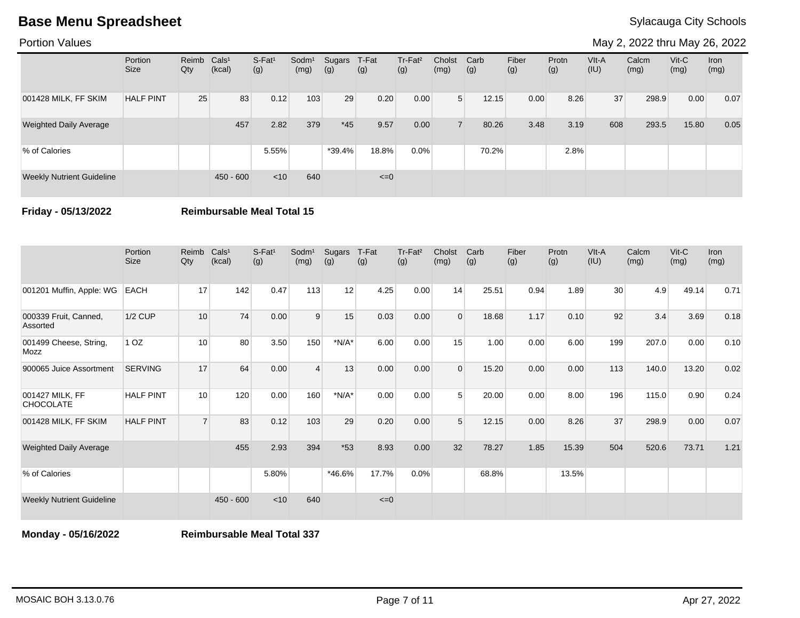Portion Values

May 2, 2022 thru May 26, 2022

|                                  | Portion<br><b>Size</b> | Reimb<br>Qty | Cals <sup>1</sup><br>(kcal) | $S-Fat1$<br>(g) | Sodm <sup>1</sup><br>(mg) | Sugars<br>(g) | T-Fat<br>(g) | Tr-Fat <sup>2</sup><br>(g) | Cholst<br>(mg) | Carb<br>(g) | Fiber<br>(g) | Protn<br>(g) | $V$ lt-A<br>(IU) | Calcm<br>(mg) | $V$ it-C<br>(mg) | Iron<br>(mg) |
|----------------------------------|------------------------|--------------|-----------------------------|-----------------|---------------------------|---------------|--------------|----------------------------|----------------|-------------|--------------|--------------|------------------|---------------|------------------|--------------|
| 001428 MILK, FF SKIM             | <b>HALF PINT</b>       | 25           | 83                          | 0.12            | 103                       | 29            | 0.20         | 0.00                       | 5 <sup>1</sup> | 12.15       | 0.00         | 8.26         | 37               | 298.9         | 0.00             | 0.07         |
| <b>Weighted Daily Average</b>    |                        |              | 457                         | 2.82            | 379                       | $*45$         | 9.57         | 0.00                       |                | 80.26       | 3.48         | 3.19         | 608              | 293.5         | 15.80            | 0.05         |
| % of Calories                    |                        |              |                             | 5.55%           |                           | $*39.4%$      | 18.8%        | $0.0\%$                    |                | 70.2%       |              | 2.8%         |                  |               |                  |              |
| <b>Weekly Nutrient Guideline</b> |                        |              | $450 - 600$                 | $<$ 10          | 640                       |               | $\leq=0$     |                            |                |             |              |              |                  |               |                  |              |

**Friday - 05/13/2022 Reimbursable Meal Total 15**

|                                     | Portion<br>Size  | Reimb<br>Qty   | Cals <sup>1</sup><br>(kcal) | S-Fat <sup>1</sup><br>(g) | Sodm <sup>1</sup><br>(mg) | Sugars<br>(g) | T-Fat<br>(g) | Tr-Fat <sup>2</sup><br>(g) | Cholst<br>(mg) | Carb<br>(g) | Fiber<br>(g) | Protn<br>(g) | VIt-A<br>(IU)   | Calcm<br>(mg) | Vit-C<br>(mg) | Iron<br>(mg) |
|-------------------------------------|------------------|----------------|-----------------------------|---------------------------|---------------------------|---------------|--------------|----------------------------|----------------|-------------|--------------|--------------|-----------------|---------------|---------------|--------------|
| 001201 Muffin, Apple: WG            | <b>EACH</b>      | 17             | 142                         | 0.47                      | 113                       | 12            | 4.25         | 0.00                       | 14             | 25.51       | 0.94         | 1.89         | 30 <sup>°</sup> | 4.9           | 49.14         | 0.71         |
| 000339 Fruit, Canned,<br>Assorted   | <b>1/2 CUP</b>   | 10             | 74                          | 0.00                      | 9                         | 15            | 0.03         | 0.00                       | $\Omega$       | 18.68       | 1.17         | 0.10         | 92              | 3.4           | 3.69          | 0.18         |
| 001499 Cheese, String,<br>Mozz      | 1 <sub>OZ</sub>  | 10             | 80                          | 3.50                      | 150                       | $*N/A*$       | 6.00         | 0.00                       | 15             | 1.00        | 0.00         | 6.00         | 199             | 207.0         | 0.00          | 0.10         |
| 900065 Juice Assortment             | <b>SERVING</b>   | 17             | 64                          | 0.00                      | $\boldsymbol{\Delta}$     | 13            | 0.00         | 0.00                       | $\Omega$       | 15.20       | 0.00         | 0.00         | 113             | 140.0         | 13.20         | 0.02         |
| 001427 MILK, FF<br><b>CHOCOLATE</b> | <b>HALF PINT</b> | 10             | 120                         | 0.00                      | 160                       | $*N/A*$       | 0.00         | 0.00                       | 5              | 20.00       | 0.00         | 8.00         | 196             | 115.0         | 0.90          | 0.24         |
| 001428 MILK, FF SKIM                | <b>HALF PINT</b> | $\overline{7}$ | 83                          | 0.12                      | 103                       | 29            | 0.20         | 0.00                       | 5              | 12.15       | 0.00         | 8.26         | 37              | 298.9         | 0.00          | 0.07         |
| <b>Weighted Daily Average</b>       |                  |                | 455                         | 2.93                      | 394                       | $*53$         | 8.93         | 0.00                       | 32             | 78.27       | 1.85         | 15.39        | 504             | 520.6         | 73.71         | 1.21         |
| % of Calories                       |                  |                |                             | 5.80%                     |                           | *46.6%        | 17.7%        | 0.0%                       |                | 68.8%       |              | 13.5%        |                 |               |               |              |
| <b>Weekly Nutrient Guideline</b>    |                  |                | $450 - 600$                 | < 10                      | 640                       |               | $\leq=0$     |                            |                |             |              |              |                 |               |               |              |

**Monday - 05/16/2022 Reimbursable Meal Total 337**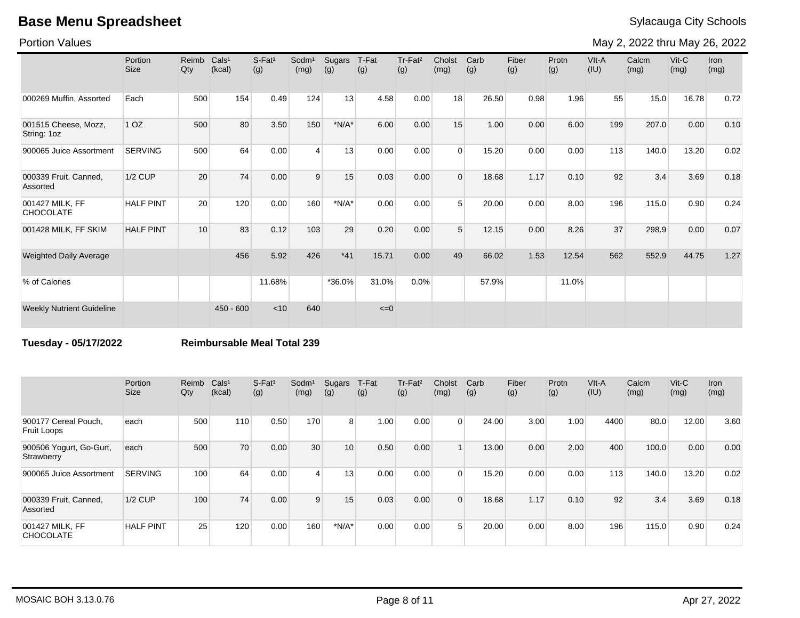Portion Values

May 2, 2022 thru May 26, 2022

|                                     | Portion<br><b>Size</b> | Reimb<br>Qty | Cals <sup>1</sup><br>(kcal) | $S$ -Fat <sup>1</sup><br>(g) | Sodm <sup>1</sup><br>(mg) | Sugars<br>(g) | T-Fat<br>(g) | Tr-Fat <sup>2</sup><br>(g) | Cholst<br>(mg) | Carb<br>(g) | Fiber<br>(g) | Protn<br>(g) | VIt-A<br>(IU) | Calcm<br>(mg) | Vit-C<br>(mg) | Iron<br>(mg) |
|-------------------------------------|------------------------|--------------|-----------------------------|------------------------------|---------------------------|---------------|--------------|----------------------------|----------------|-------------|--------------|--------------|---------------|---------------|---------------|--------------|
| 000269 Muffin, Assorted             | Each                   | 500          | 154                         | 0.49                         | 124                       | 13            | 4.58         | 0.00                       | 18             | 26.50       | 0.98         | 1.96         | 55            | 15.0          | 16.78         | 0.72         |
| 001515 Cheese, Mozz,<br>String: 1oz | 1 <sub>OZ</sub>        | 500          | 80                          | 3.50                         | 150                       | $*N/A*$       | 6.00         | 0.00                       | 15             | 1.00        | 0.00         | 6.00         | 199           | 207.0         | 0.00          | 0.10         |
| 900065 Juice Assortment             | <b>SERVING</b>         | 500          | 64                          | 0.00                         | $\overline{4}$            | 13            | 0.00         | 0.00                       | $\Omega$       | 15.20       | 0.00         | 0.00         | 113           | 140.0         | 13.20         | 0.02         |
| 000339 Fruit, Canned,<br>Assorted   | <b>1/2 CUP</b>         | 20           | 74                          | 0.00                         | 9                         | 15            | 0.03         | 0.00                       | $\Omega$       | 18.68       | 1.17         | 0.10         | 92            | 3.4           | 3.69          | 0.18         |
| 001427 MILK, FF<br><b>CHOCOLATE</b> | <b>HALF PINT</b>       | 20           | 120                         | 0.00                         | 160                       | $*N/A*$       | 0.00         | 0.00                       | $5^{\circ}$    | 20.00       | 0.00         | 8.00         | 196           | 115.0         | 0.90          | 0.24         |
| 001428 MILK, FF SKIM                | <b>HALF PINT</b>       | 10           | 83                          | 0.12                         | 103                       | 29            | 0.20         | 0.00                       | $5^{\circ}$    | 12.15       | 0.00         | 8.26         | 37            | 298.9         | 0.00          | 0.07         |
| <b>Weighted Daily Average</b>       |                        |              | 456                         | 5.92                         | 426                       | $*41$         | 15.71        | 0.00                       | 49             | 66.02       | 1.53         | 12.54        | 562           | 552.9         | 44.75         | 1.27         |
| % of Calories                       |                        |              |                             | 11.68%                       |                           | *36.0%        | 31.0%        | 0.0%                       |                | 57.9%       |              | 11.0%        |               |               |               |              |
| <b>Weekly Nutrient Guideline</b>    |                        |              | $450 - 600$                 | < 10                         | 640                       |               | $\leq=0$     |                            |                |             |              |              |               |               |               |              |

**Tuesday - 05/17/2022 Reimbursable Meal Total 239**

|                                       | Portion<br><b>Size</b> | Reimb<br>Qty | Cals <sup>1</sup><br>(kcal) | $S-Fat1$<br>(g) | Sodm <sup>1</sup><br>(mg) | Sugars<br>(g) | T-Fat<br>(g) | Tr-Fat <sup>2</sup><br>(g) | Cholst<br>(mg) | Carb<br>(g) | Fiber<br>(g) | Protn<br>(g) | VIt-A<br>(IU) | Calcm<br>(mg) | $V$ it-C<br>(mg) | Iron<br>(mg) |
|---------------------------------------|------------------------|--------------|-----------------------------|-----------------|---------------------------|---------------|--------------|----------------------------|----------------|-------------|--------------|--------------|---------------|---------------|------------------|--------------|
| 900177 Cereal Pouch,<br>Fruit Loops   | each                   | 500          | 110                         | 0.50            | 170                       | 8             | 1.00         | 0.00                       | $\Omega$       | 24.00       | 3.00         | 1.00         | 4400          | 80.0          | 12.00            | 3.60         |
| 900506 Yogurt, Go-Gurt,<br>Strawberry | each                   | 500          | 70                          | 0.00            | 30                        | 10            | 0.50         | 0.00                       |                | 13.00       | 0.00         | 2.00         | 400           | 100.0         | 0.00             | 0.00         |
| 900065 Juice Assortment               | <b>SERVING</b>         | 100          | 64                          | 0.00            | $\overline{4}$            | 13            | 0.00         | 0.00                       | $\Omega$       | 15.20       | 0.00         | 0.00         | 113           | 140.0         | 13.20            | 0.02         |
| 000339 Fruit, Canned,<br>Assorted     | $1/2$ CUP              | 100          | 74                          | 0.00            | 9                         | 15            | 0.03         | 0.00                       | $\Omega$       | 18.68       | 1.17         | 0.10         | 92            | 3.4           | 3.69             | 0.18         |
| 001427 MILK, FF<br><b>CHOCOLATE</b>   | <b>HALF PINT</b>       | 25           | 120                         | 0.00            | 160                       | $*N/A*$       | 0.00         | 0.00                       | 5              | 20.00       | 0.00         | 8.00         | 196           | 115.0         | 0.90             | 0.24         |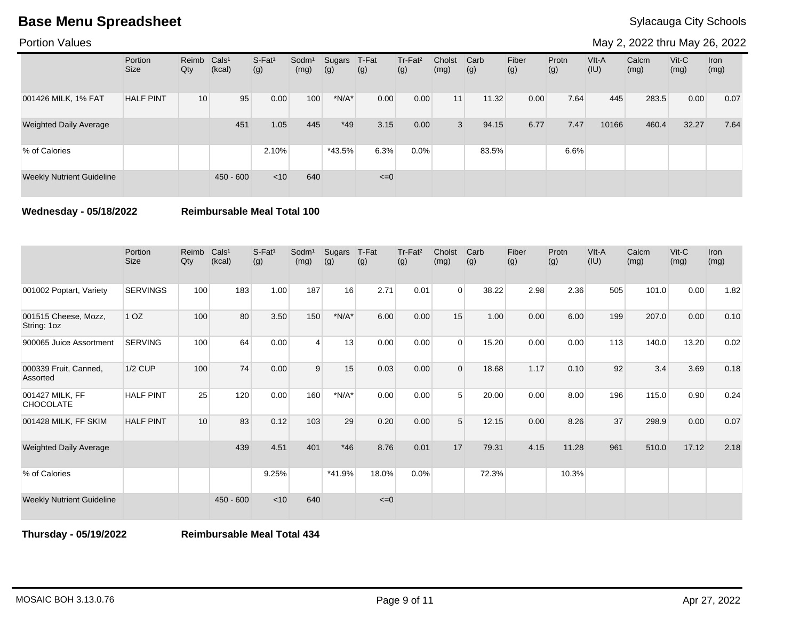Portion Values

May 2, 2022 thru May 26, 2022

|                                  | Portion<br><b>Size</b> | Reimb Cals <sup>1</sup><br>Qty | (kcal)      | $S-Fat1$<br>(g) | Sodm <sup>1</sup><br>(mg) | Sugars<br>(g) | T-Fat<br>(g) | Tr-Fat <sup>2</sup><br>(g) | Cholst<br>(mg)  | Carb<br>(g) | Fiber<br>(g) | Protn<br>(g) | $V$ lt-A<br>(IU) | Calcm<br>(mg) | $V$ it-C<br>(mg) | Iron<br>(mg) |
|----------------------------------|------------------------|--------------------------------|-------------|-----------------|---------------------------|---------------|--------------|----------------------------|-----------------|-------------|--------------|--------------|------------------|---------------|------------------|--------------|
| 001426 MILK, 1% FAT              | <b>HALF PINT</b>       | 10 <sup>1</sup>                | 95          | 0.00            | 100                       | $*N/A*$       | 0.00         | 0.00                       | 11 <sub>h</sub> | 11.32       | 0.00         | 7.64         | 445              | 283.5         | 0.00             | 0.07         |
| <b>Weighted Daily Average</b>    |                        |                                | 451         | 1.05            | 445                       | $*49$         | 3.15         | 0.00                       | 3               | 94.15       | 6.77         | 7.47         | 10166            | 460.4         | 32.27            | 7.64         |
| % of Calories                    |                        |                                |             | 2.10%           |                           | $*43.5%$      | 6.3%         | 0.0%                       |                 | 83.5%       |              | 6.6%         |                  |               |                  |              |
| <b>Weekly Nutrient Guideline</b> |                        |                                | $450 - 600$ | $<$ 10          | 640                       |               | $\leq=0$     |                            |                 |             |              |              |                  |               |                  |              |

**Wednesday - 05/18/2022 Reimbursable Meal Total 100**

|                                     | Portion<br><b>Size</b> | Reimb<br>Qty | Cals <sup>1</sup><br>(kcal) | $S-Fat1$<br>(g) | Sodm <sup>1</sup><br>(mg) | Sugars<br>(g) | T-Fat<br>(g) | Tr-Fat <sup>2</sup><br>(g) | Cholst<br>(mg) | Carb<br>(g) | Fiber<br>(g) | Protn<br>(g) | VIt-A<br>(IU) | Calcm<br>(mg) | $V$ it-C<br>(mg) | <b>Iron</b><br>(mg) |
|-------------------------------------|------------------------|--------------|-----------------------------|-----------------|---------------------------|---------------|--------------|----------------------------|----------------|-------------|--------------|--------------|---------------|---------------|------------------|---------------------|
| 001002 Poptart, Variety             | <b>SERVINGS</b>        | 100          | 183                         | 1.00            | 187                       | 16            | 2.71         | 0.01                       | $\mathbf 0$    | 38.22       | 2.98         | 2.36         | 505           | 101.0         | 0.00             | 1.82                |
| 001515 Cheese, Mozz,<br>String: 1oz | 1 <sub>OZ</sub>        | 100          | 80                          | 3.50            | 150                       | $*N/A*$       | 6.00         | 0.00                       | 15             | 1.00        | 0.00         | 6.00         | 199           | 207.0         | 0.00             | 0.10                |
| 900065 Juice Assortment             | <b>SERVING</b>         | 100          | 64                          | 0.00            | 4                         | 13            | 0.00         | 0.00                       | $\Omega$       | 15.20       | 0.00         | 0.00         | 113           | 140.0         | 13.20            | 0.02                |
| 000339 Fruit, Canned,<br>Assorted   | <b>1/2 CUP</b>         | 100          | 74                          | 0.00            | 9                         | 15            | 0.03         | 0.00                       | $\Omega$       | 18.68       | 1.17         | 0.10         | 92            | 3.4           | 3.69             | 0.18                |
| 001427 MILK, FF<br><b>CHOCOLATE</b> | <b>HALF PINT</b>       | 25           | 120                         | 0.00            | 160                       | $*N/A*$       | 0.00         | 0.00                       | 5              | 20.00       | 0.00         | 8.00         | 196           | 115.0         | 0.90             | 0.24                |
| 001428 MILK, FF SKIM                | <b>HALF PINT</b>       | 10           | 83                          | 0.12            | 103                       | 29            | 0.20         | 0.00                       | 5              | 12.15       | 0.00         | 8.26         | 37            | 298.9         | 0.00             | 0.07                |
| <b>Weighted Daily Average</b>       |                        |              | 439                         | 4.51            | 401                       | $*46$         | 8.76         | 0.01                       | 17             | 79.31       | 4.15         | 11.28        | 961           | 510.0         | 17.12            | 2.18                |
| % of Calories                       |                        |              |                             | 9.25%           |                           | *41.9%        | 18.0%        | 0.0%                       |                | 72.3%       |              | 10.3%        |               |               |                  |                     |
| <b>Weekly Nutrient Guideline</b>    |                        |              | $450 - 600$                 | < 10            | 640                       |               | $\leq=0$     |                            |                |             |              |              |               |               |                  |                     |

**Thursday - 05/19/2022 Reimbursable Meal Total 434**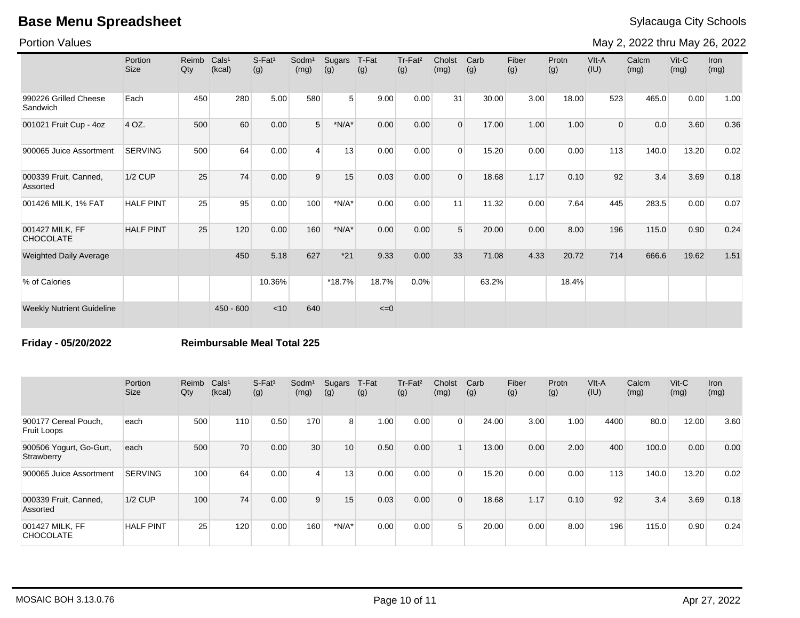Portion Values

May 2, 2022 thru May 26, 2022

|                                     | Portion<br><b>Size</b> | Reimb<br>Qty | Cals <sup>1</sup><br>(kcal) | $S$ -Fat <sup>1</sup><br>(g) | Sodm <sup>1</sup><br>(mg) | Sugars<br>(g)  | T-Fat<br>(g) | Tr-Fat <sup>2</sup><br>(g) | Cholst<br>(mg) | Carb<br>(g) | Fiber<br>(g) | Protn<br>(g) | VIt-A<br>(IU)  | Calcm<br>(mg) | Vit-C<br>(mg) | Iron<br>(mg) |
|-------------------------------------|------------------------|--------------|-----------------------------|------------------------------|---------------------------|----------------|--------------|----------------------------|----------------|-------------|--------------|--------------|----------------|---------------|---------------|--------------|
| 990226 Grilled Cheese<br>Sandwich   | Each                   | 450          | 280                         | 5.00                         | 580                       | 5 <sup>1</sup> | 9.00         | 0.00                       | 31             | 30.00       | 3.00         | 18.00        | 523            | 465.0         | 0.00          | 1.00         |
| 001021 Fruit Cup - 4oz              | 4 OZ.                  | 500          | 60                          | 0.00                         | $5\overline{)}$           | $*N/A*$        | 0.00         | 0.00                       | $\Omega$       | 17.00       | 1.00         | 1.00         | $\overline{0}$ | 0.0           | 3.60          | 0.36         |
| 900065 Juice Assortment             | <b>SERVING</b>         | 500          | 64                          | 0.00                         | $\overline{4}$            | 13             | 0.00         | 0.00                       | $\Omega$       | 15.20       | 0.00         | 0.00         | 113            | 140.0         | 13.20         | 0.02         |
| 000339 Fruit, Canned,<br>Assorted   | <b>1/2 CUP</b>         | 25           | 74                          | 0.00                         | 9                         | 15             | 0.03         | 0.00                       | $\Omega$       | 18.68       | 1.17         | 0.10         | 92             | 3.4           | 3.69          | 0.18         |
| 001426 MILK, 1% FAT                 | <b>HALF PINT</b>       | 25           | 95                          | 0.00                         | 100                       | $*N/A*$        | 0.00         | 0.00                       | 11             | 11.32       | 0.00         | 7.64         | 445            | 283.5         | 0.00          | 0.07         |
| 001427 MILK, FF<br><b>CHOCOLATE</b> | <b>HALF PINT</b>       | 25           | 120                         | 0.00                         | 160                       | $*N/A*$        | 0.00         | 0.00                       | $5^{\circ}$    | 20.00       | 0.00         | 8.00         | 196            | 115.0         | 0.90          | 0.24         |
| <b>Weighted Daily Average</b>       |                        |              | 450                         | 5.18                         | 627                       | $*21$          | 9.33         | 0.00                       | 33             | 71.08       | 4.33         | 20.72        | 714            | 666.6         | 19.62         | 1.51         |
| % of Calories                       |                        |              |                             | 10.36%                       |                           | $*18.7%$       | 18.7%        | 0.0%                       |                | 63.2%       |              | 18.4%        |                |               |               |              |
| <b>Weekly Nutrient Guideline</b>    |                        |              | $450 - 600$                 | < 10                         | 640                       |                | $\leq=0$     |                            |                |             |              |              |                |               |               |              |

**Friday - 05/20/2022 Reimbursable Meal Total 225**

|                                       | Portion<br><b>Size</b> | Reimb<br>Qty | Cals <sup>1</sup><br>(kcal) | $S-Fat1$<br>(g) | Sodm <sup>1</sup><br>(mg) | Sugars<br>(g) | T-Fat<br>(g) | Tr-Fat <sup>2</sup><br>(g) | Cholst<br>(mg) | Carb<br>(g) | Fiber<br>(g) | Protn<br>(g) | VIt-A<br>(IU) | Calcm<br>(mg) | $V$ it-C<br>(mg) | <b>Iron</b><br>(mg) |
|---------------------------------------|------------------------|--------------|-----------------------------|-----------------|---------------------------|---------------|--------------|----------------------------|----------------|-------------|--------------|--------------|---------------|---------------|------------------|---------------------|
| 900177 Cereal Pouch,<br>Fruit Loops   | each                   | 500          | 110                         | 0.50            | 170                       | 8             | 1.00         | 0.00                       | $\Omega$       | 24.00       | 3.00         | 1.00         | 4400          | 80.0          | 12.00            | 3.60                |
| 900506 Yogurt, Go-Gurt,<br>Strawberry | each                   | 500          | 70                          | 0.00            | 30                        | 10            | 0.50         | 0.00                       |                | 13.00       | 0.00         | 2.00         | 400           | 100.0         | 0.00             | 0.00                |
| 900065 Juice Assortment               | <b>SERVING</b>         | 100          | 64                          | 0.00            | $\overline{4}$            | 13            | 0.00         | 0.00                       | $\Omega$       | 15.20       | 0.00         | 0.00         | 113           | 140.0         | 13.20            | 0.02                |
| 000339 Fruit, Canned,<br>Assorted     | $1/2$ CUP              | 100          | 74                          | 0.00            | 9                         | 15            | 0.03         | 0.00                       | $\Omega$       | 18.68       | 1.17         | 0.10         | 92            | 3.4           | 3.69             | 0.18                |
| 001427 MILK, FF<br><b>CHOCOLATE</b>   | <b>HALF PINT</b>       | 25           | 120                         | 0.00            | 160                       | $*N/A*$       | 0.00         | 0.00                       | 5              | 20.00       | 0.00         | 8.00         | 196           | 115.0         | 0.90             | 0.24                |